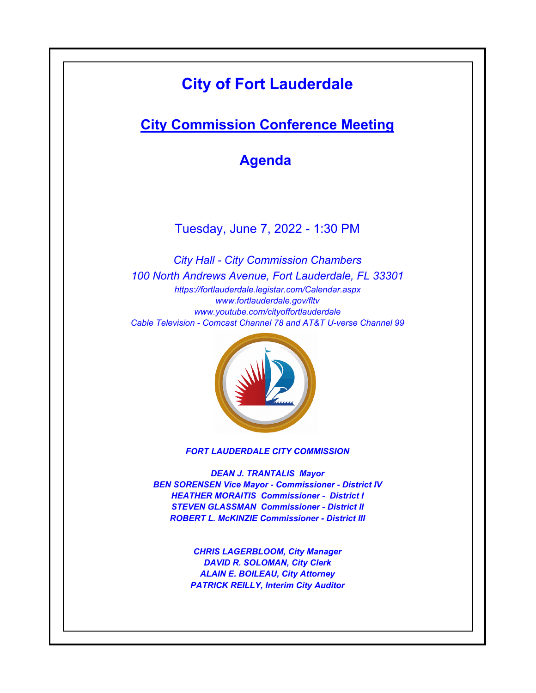# **City of Fort Lauderdale**

## **City Commission Conference Meeting**

**Agenda** 

Tuesday, June 7, 2022 - 1:30 PM

*https://fortlauderdale.legistar.com/Calendar.aspx www.fortlauderdale.gov/fltv www.youtube.com/cityoffortlauderdale Cable Television - Comcast Channel 78 and AT&T U-verse Channel 99 City Hall - City Commission Chambers 100 North Andrews Avenue, Fort Lauderdale, FL 33301*



*FORT LAUDERDALE CITY COMMISSION*

*DEAN J. TRANTALIS Mayor BEN SORENSEN Vice Mayor - Commissioner - District IV HEATHER MORAITIS Commissioner - District I STEVEN GLASSMAN Commissioner - District II ROBERT L. McKINZIE Commissioner - District III*

> *CHRIS LAGERBLOOM, City Manager DAVID R. SOLOMAN, City Clerk ALAIN E. BOILEAU, City Attorney PATRICK REILLY, Interim City Auditor*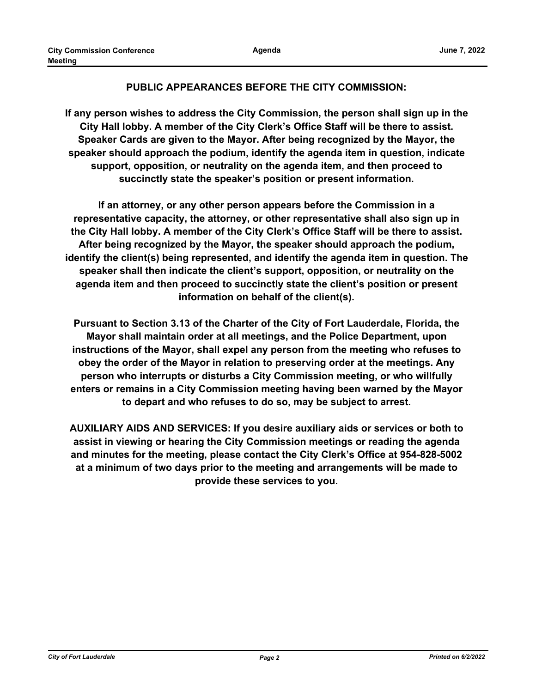#### **PUBLIC APPEARANCES BEFORE THE CITY COMMISSION:**

**If any person wishes to address the City Commission, the person shall sign up in the City Hall lobby. A member of the City Clerk's Office Staff will be there to assist. Speaker Cards are given to the Mayor. After being recognized by the Mayor, the speaker should approach the podium, identify the agenda item in question, indicate support, opposition, or neutrality on the agenda item, and then proceed to succinctly state the speaker's position or present information.**

**If an attorney, or any other person appears before the Commission in a representative capacity, the attorney, or other representative shall also sign up in the City Hall lobby. A member of the City Clerk's Office Staff will be there to assist. After being recognized by the Mayor, the speaker should approach the podium, identify the client(s) being represented, and identify the agenda item in question. The speaker shall then indicate the client's support, opposition, or neutrality on the agenda item and then proceed to succinctly state the client's position or present information on behalf of the client(s).**

**Pursuant to Section 3.13 of the Charter of the City of Fort Lauderdale, Florida, the Mayor shall maintain order at all meetings, and the Police Department, upon instructions of the Mayor, shall expel any person from the meeting who refuses to obey the order of the Mayor in relation to preserving order at the meetings. Any person who interrupts or disturbs a City Commission meeting, or who willfully enters or remains in a City Commission meeting having been warned by the Mayor to depart and who refuses to do so, may be subject to arrest.**

**AUXILIARY AIDS AND SERVICES: If you desire auxiliary aids or services or both to assist in viewing or hearing the City Commission meetings or reading the agenda and minutes for the meeting, please contact the City Clerk's Office at 954-828-5002 at a minimum of two days prior to the meeting and arrangements will be made to provide these services to you.**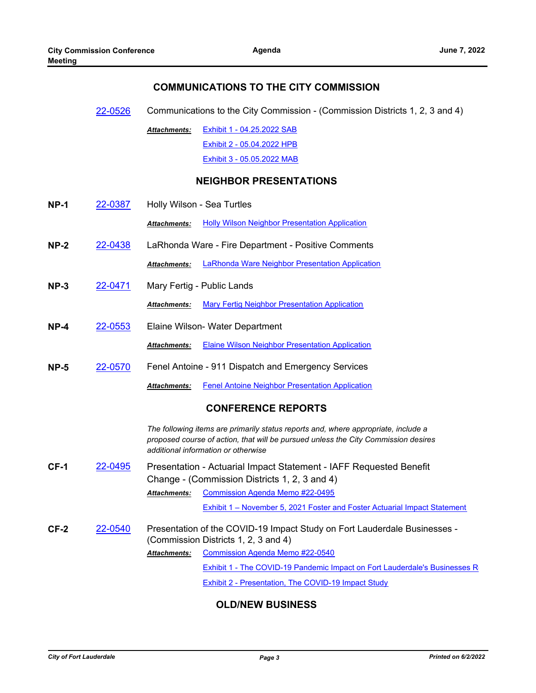#### **COMMUNICATIONS TO THE CITY COMMISSION**

[22-0526](http://fortlauderdale.legistar.com/gateway.aspx?m=l&id=/matter.aspx?key=16646) Communications to the City Commission - (Commission Districts 1, 2, 3 and 4)

[Exhibit 1 - 04.25.2022 SAB](http://FortLauderdale.legistar.com/gateway.aspx?M=F&ID=2fe65391-f7ab-44e4-8416-589eb1ec97ea.pdf) [Exhibit 2 - 05.04.2022 HPB](http://FortLauderdale.legistar.com/gateway.aspx?M=F&ID=62839062-5c01-4b42-8ec2-4244f544a66a.pdf) [Exhibit 3 - 05.05.2022 MAB](http://FortLauderdale.legistar.com/gateway.aspx?M=F&ID=f3c31128-5d5b-4b27-b4a2-7d053349174a.pdf) *Attachments:*

#### **NEIGHBOR PRESENTATIONS**

- **NP-1** [22-0387](http://fortlauderdale.legistar.com/gateway.aspx?m=l&id=/matter.aspx?key=16507) Holly Wilson Sea Turtles **Attachments:** [Holly Wilson Neighbor Presentation Application](http://FortLauderdale.legistar.com/gateway.aspx?M=F&ID=15157fcc-4ed0-4e35-9c0a-b61e0e9742d0.pdf) **NP-2** [22-0438](http://fortlauderdale.legistar.com/gateway.aspx?m=l&id=/matter.aspx?key=16558) LaRhonda Ware - Fire Department - Positive Comments *Attachments:* [LaRhonda Ware Neighbor Presentation Application](http://FortLauderdale.legistar.com/gateway.aspx?M=F&ID=3436efb7-d0bc-4111-9334-dd72cd587c50.pdf) **NP-3** [22-0471](http://fortlauderdale.legistar.com/gateway.aspx?m=l&id=/matter.aspx?key=16591) Mary Fertig - Public Lands *Attachments:* [Mary Fertig Neighbor Presentation Application](http://FortLauderdale.legistar.com/gateway.aspx?M=F&ID=9bc8e23f-b973-4b3d-b6e4-4e965dc6773b.pdf)
- **NP-4** [22-0553](http://fortlauderdale.legistar.com/gateway.aspx?m=l&id=/matter.aspx?key=16673) Elaine Wilson- Water Department *Attachments:* [Elaine Wilson Neighbor Presentation Application](http://FortLauderdale.legistar.com/gateway.aspx?M=F&ID=3995852d-7a3f-413c-abf7-15f8e3a7c467.pdf)
- **NP-5** [22-0570](http://fortlauderdale.legistar.com/gateway.aspx?m=l&id=/matter.aspx?key=16690) Fenel Antoine 911 Dispatch and Emergency Services

*Attachments:* [Fenel Antoine Neighbor Presentation Application](http://FortLauderdale.legistar.com/gateway.aspx?M=F&ID=84533f54-cf8e-449e-9aa7-3da035bbd682.pdf)

#### **CONFERENCE REPORTS**

*The following items are primarily status reports and, where appropriate, include a proposed course of action, that will be pursued unless the City Commission desires additional information or otherwise*

**CF-1** [22-0495](http://fortlauderdale.legistar.com/gateway.aspx?m=l&id=/matter.aspx?key=16615) Presentation - Actuarial Impact Statement - IAFF Requested Benefit Change - (Commission Districts 1, 2, 3 and 4) [Commission Agenda Memo #22-0495](http://FortLauderdale.legistar.com/gateway.aspx?M=F&ID=b2631f3e-d8d5-4ebd-a76d-19cd9fe7f6fb.docx) *Attachments:*

[Exhibit 1 – November 5, 2021 Foster and Foster Actuarial Impact Statement](http://FortLauderdale.legistar.com/gateway.aspx?M=F&ID=e4ca00ae-4e86-4f80-b987-19addd6d51aa.pdf)

**CF-2** [22-0540](http://fortlauderdale.legistar.com/gateway.aspx?m=l&id=/matter.aspx?key=16660) Presentation of the COVID-19 Impact Study on Fort Lauderdale Businesses - (Commission Districts 1, 2, 3 and 4) [Commission Agenda Memo #22-0540](http://FortLauderdale.legistar.com/gateway.aspx?M=F&ID=58b5253e-fc3d-48ea-8d8d-83b323674cfa.docx) *Attachments:*

[Exhibit 1 - The COVID-19 Pandemic Impact on Fort Lauderdale's Businesses R](http://FortLauderdale.legistar.com/gateway.aspx?M=F&ID=24c897cb-2e19-4c4a-8384-e439e950f5ab.pdf)eport

[Exhibit 2 - Presentation, The COVID-19 Impact Study](http://FortLauderdale.legistar.com/gateway.aspx?M=F&ID=cda695c9-6c47-432b-885b-cfa7c2472919.pdf)

#### **OLD/NEW BUSINESS**